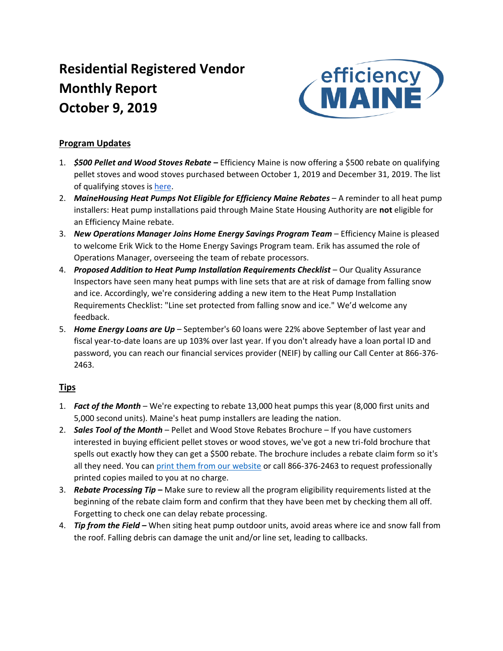# **Residential Registered Vendor Monthly Report October 9, 2019**



### **Program Updates**

- 1. *\$500 Pellet and Wood Stoves Rebate* **–** Efficiency Maine is now offering a \$500 rebate on qualifying pellet stoves and wood stoves purchased between October 1, 2019 and December 31, 2019. The list of qualifying stoves is [here.](https://www.efficiencymaine.com/docs/EM-Rebate-Eligible-Pellet-Wood-Stoves.pdf)
- 2. *MaineHousing Heat Pumps Not Eligible for Efficiency Maine Rebates* A reminder to all heat pump installers: Heat pump installations paid through Maine State Housing Authority are **not** eligible for an Efficiency Maine rebate.
- 3. *New Operations Manager Joins Home Energy Savings Program Team* Efficiency Maine is pleased to welcome Erik Wick to the Home Energy Savings Program team. Erik has assumed the role of Operations Manager, overseeing the team of rebate processors.
- 4. *Proposed Addition to Heat Pump Installation Requirements Checklist* Our Quality Assurance Inspectors have seen many heat pumps with line sets that are at risk of damage from falling snow and ice. Accordingly, we're considering adding a new item to the Heat Pump Installation Requirements Checklist: "Line set protected from falling snow and ice." We'd welcome any feedback.
- 5. *Home Energy Loans are Up* September's 60 loans were 22% above September of last year and fiscal year-to-date loans are up 103% over last year. If you don't already have a loan portal ID and password, you can reach our financial services provider (NEIF) by calling our Call Center at 866-376- 2463.

### **Tips**

- 1. *Fact of the Month* We're expecting to rebate 13,000 heat pumps this year (8,000 first units and 5,000 second units). Maine's heat pump installers are leading the nation.
- 2. *Sales Tool of the Month* Pellet and Wood Stove Rebates Brochure If you have customers interested in buying efficient pellet stoves or wood stoves, we've got a new tri-fold brochure that spells out exactly how they can get a \$500 rebate. The brochure includes a rebate claim form so it's all they need. You ca[n print them from our website](https://www.efficiencymaine.com/docs/EM-Pellet-and-Wood-Stove-Rebate.pdf#page=2) or call 866-376-2463 to request professionally printed copies mailed to you at no charge.
- 3. *Rebate Processing Tip* **–** Make sure to review all the program eligibility requirements listed at the beginning of the rebate claim form and confirm that they have been met by checking them all off. Forgetting to check one can delay rebate processing.
- 4. *Tip from the Field –* When siting heat pump outdoor units, avoid areas where ice and snow fall from the roof. Falling debris can damage the unit and/or line set, leading to callbacks.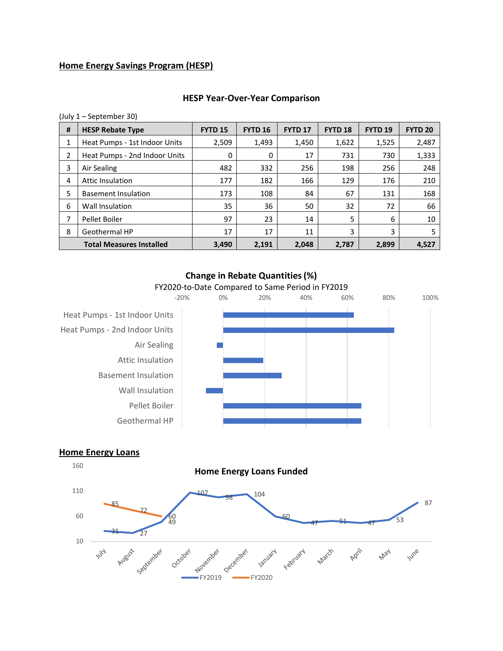### **Home Energy Savings Program (HESP)**

# **# HESP Rebate Type FYTD 15 FYTD 16 FYTD 17 FYTD 18 FYTD 19 FYTD 20** 1 | Heat Pumps - 1st Indoor Units | 2,509 | 1,493 | 1,450 | 1,622 | 1,525 | 2,487 2 | Heat Pumps - 2nd Indoor Units |  $0 \mid 0 \mid 17 \mid 731 \mid 730 \mid 1,333$ 3 Air Sealing 482 332 256 198 256 248 4 Attic Insulation 177 182 166 129 176 210 5 Basement Insulation 173 108 108 84 67 131 168 6 Wall Insulation 35 36 50 32 72 66 7 Pellet Boiler 97 23 14 5 6 10 8 Geothermal HP 17 17 17 17 11 3 3 5 **Total Measures Installed 3,490 2,191 2,048 2,787 2,899 4,527**

#### **HESP Year-Over-Year Comparison**



(July 1 – September 30)